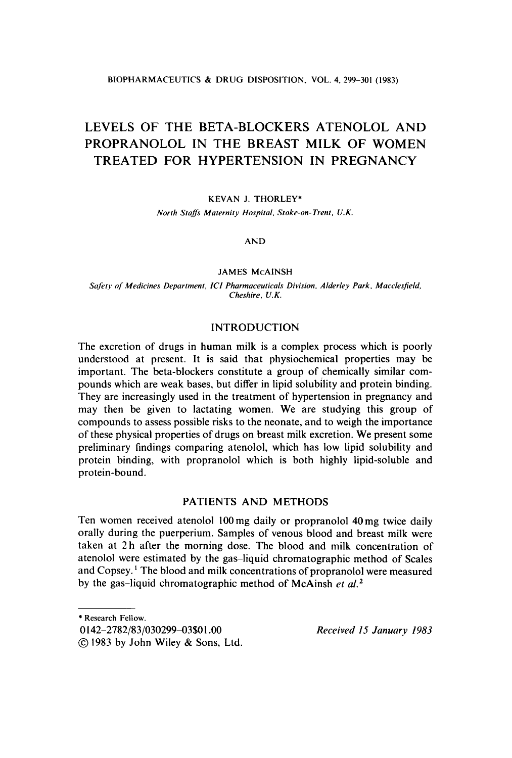**BIOPHARMACEUTICS** & **DRUG DISPOSITION. VOL. 4,299-301 (1983)** 

# **LEVELS OF THE BETA-BLOCKERS ATENOLOL AND PROPRANOLOL IN THE BREAST MILK OF WOMEN TREATED FOR HYPERTENSION IN PREGNANCY**

## **KEVAN J. THORLEY\***

*North Staflr Maternity Hospital, Stoke-on-Trent. U.K.* 

### **AND**

### **JAMES McAINSH**

*Sr!fel?. qf Medicines Department, ICI Pharmaceuticals Division, Alderley Park, Macclesfield, Cheshire. U. K.* 

## INTRODUCTION

The excretion of drugs in human milk is a complex process which is poorly understood at present. It **is** said that physiochemical properties may be important. The beta-blockers constitute a group of chemically similar compounds which are weak bases, but differ in lipid solubility and protein binding. They are increasingly used in the treatment of hypertension in pregnancy and may then be given to lactating women. We are studying this group of compounds to assess possible risks to the neonate, and to weigh the importance of these physical properties of drugs on breast milk excretion. We present some preliminary findings comparing atenolol, which has low lipid solubility and protein binding, with propranolol which is both highly lipid-soluble and protein-bound.

## PATIENTS AND METHODS

Ten women received atenolol **100** mg daily or propranolol 40 mg twice daily orally during the puerperium. Samples of venous blood and breast milk were taken at 2h after the morning dose. The blood and milk concentration of atenolol were estimated by the gas-liquid chromatographic method of Scales and Copsey. ' The blood and milk concentrations of propranolol were measured by the gas-liquid chromatographic method **of** McAinsh *et a1.2* 

<sup>\*</sup> **Research Fellow.** 

<sup>0 142-2782/83/03029943\$0</sup> **1** *.OO Received 15 January 1983* 

<sup>@</sup> 1983 by John Wiley & Sons, Ltd.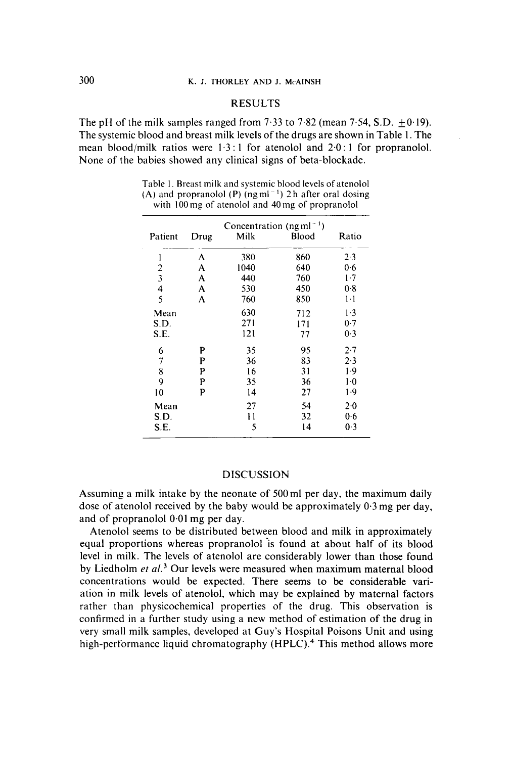## RESULTS

The pH of the milk samples ranged from 7.33 to 7.82 (mean 7.54, S.D.  $\pm$  0.19). The systemic blood and breast milk levels of the drugs are shown in Table 1. The mean blood/milk ratios were 1.3 : **1** for atenolol and 2.0 : 1 for propranolol. None of the babies showed any clinical signs of beta-blockade.

Table I. Breast milk and systemic blood levels of atenolol **(A)** and propranolol **(P)** (ngml ') 2h after oral dosing with I00 **mp** of atenolol and 40 mg of propranolol

| Concentration (ngm $l^{-1}$ ) |      |      |       |         |
|-------------------------------|------|------|-------|---------|
| Patient                       | Drug | Milk | Blood | Ratio   |
| 1                             | A    | 380  | 860   | 2.3     |
| 2                             | A    | 1040 | 640   | 0.6     |
| $\overline{\mathbf{3}}$       | A    | 440  | 760   | 1.7     |
| 4                             | A    | 530  | 450   | 0.8     |
| 5                             | A    | 760  | 850   | $1-1$   |
| Mean                          |      | 630  | 712   | $1-3$   |
| S.D.                          |      | 271  | 171   | 0.7     |
| S.E.                          |      | 121  | 77    | 0.3     |
| 6                             | P    | 35   | 95    | $2 - 7$ |
| 7                             | P    | 36   | 83    | 2.3     |
| 8                             | P    | 16   | 31    | 1.9     |
| 9                             | P    | 35   | 36    | $1-0$   |
| 10                            | P    | 14   | 27    | 1.9     |
| Mean                          |      | 27   | 54    | $2 - 0$ |
| S.D.                          |      | 11   | 32    | 0.6     |
| S.E.                          |      | 5    | 14    | 0.3     |

#### DISCUSSION

Assuming a milk intake by the neonate of 500ml per day, the maximum daily dose of atenolol received by the baby would be approximately 0.3 mg per day, and of propranolol 0.01 mg per day.

Atenolol seems to be distributed between blood and milk in approximately equal proportions whereas propranolol is found at about half of its blood level in milk. The levels of atenolol are considerably lower than those found by Liedholm *et al.*<sup>3</sup> Our levels were measured when maximum maternal blood concentrations would be expected. There seems to be considerable variation in milk levels of atenolol, which may be explained by maternal factors rather than physicochemical properties of the drug. This observation is confirmed in a further study using a new method of estimation of the drug in very small milk samples, developed at Guy's Hospital Poisons Unit and using high-performance liquid chromatography **(HPLC).4** This method allows more